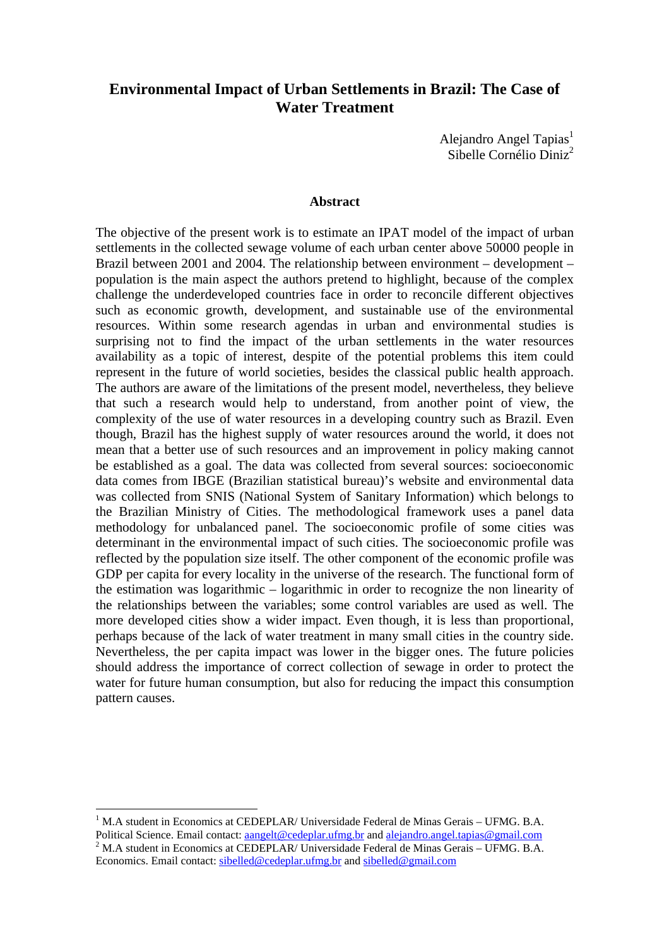# **Environmental Impact of Urban Settlements in Brazil: The Case of Water Treatment**

Alejandro Angel Tapias<sup>1</sup> Sibelle Cornélio Diniz<sup>2</sup>

#### **Abstract**

The objective of the present work is to estimate an IPAT model of the impact of urban settlements in the collected sewage volume of each urban center above 50000 people in Brazil between 2001 and 2004. The relationship between environment – development – population is the main aspect the authors pretend to highlight, because of the complex challenge the underdeveloped countries face in order to reconcile different objectives such as economic growth, development, and sustainable use of the environmental resources. Within some research agendas in urban and environmental studies is surprising not to find the impact of the urban settlements in the water resources availability as a topic of interest, despite of the potential problems this item could represent in the future of world societies, besides the classical public health approach. The authors are aware of the limitations of the present model, nevertheless, they believe that such a research would help to understand, from another point of view, the complexity of the use of water resources in a developing country such as Brazil. Even though, Brazil has the highest supply of water resources around the world, it does not mean that a better use of such resources and an improvement in policy making cannot be established as a goal. The data was collected from several sources: socioeconomic data comes from IBGE (Brazilian statistical bureau)'s website and environmental data was collected from SNIS (National System of Sanitary Information) which belongs to the Brazilian Ministry of Cities. The methodological framework uses a panel data methodology for unbalanced panel. The socioeconomic profile of some cities was determinant in the environmental impact of such cities. The socioeconomic profile was reflected by the population size itself. The other component of the economic profile was GDP per capita for every locality in the universe of the research. The functional form of the estimation was logarithmic – logarithmic in order to recognize the non linearity of the relationships between the variables; some control variables are used as well. The more developed cities show a wider impact. Even though, it is less than proportional, perhaps because of the lack of water treatment in many small cities in the country side. Nevertheless, the per capita impact was lower in the bigger ones. The future policies should address the importance of correct collection of sewage in order to protect the water for future human consumption, but also for reducing the impact this consumption pattern causes.

<sup>&</sup>lt;sup>1</sup> M.A student in Economics at CEDEPLAR/ Universidade Federal de Minas Gerais – UFMG. B.A. Political Science. Email contact: aangelt@cedeplar.ufmg.br and alejandro.angel.tapias@gmail.com  $2$  M.A student in Economics at CEDEPLAR/ Universidade Federal de Minas Gerais – UFMG. B.A. Economics. Email contact: sibelled@cedeplar.ufmg.br and sibelled@gmail.com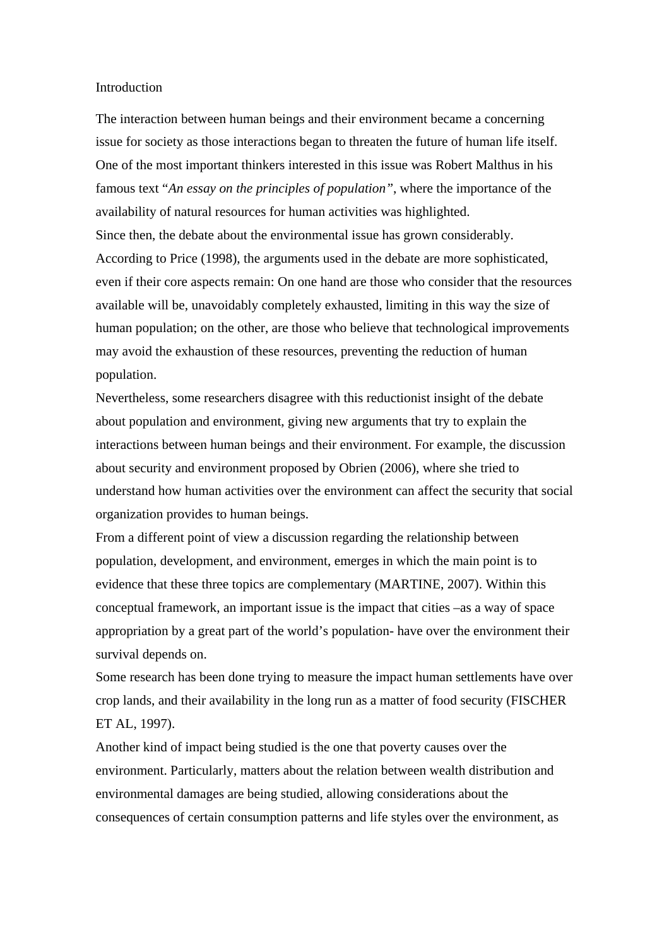#### Introduction

The interaction between human beings and their environment became a concerning issue for society as those interactions began to threaten the future of human life itself. One of the most important thinkers interested in this issue was Robert Malthus in his famous text "*An essay on the principles of population"*, where the importance of the availability of natural resources for human activities was highlighted. Since then, the debate about the environmental issue has grown considerably. According to Price (1998), the arguments used in the debate are more sophisticated, even if their core aspects remain: On one hand are those who consider that the resources available will be, unavoidably completely exhausted, limiting in this way the size of human population; on the other, are those who believe that technological improvements may avoid the exhaustion of these resources, preventing the reduction of human population.

Nevertheless, some researchers disagree with this reductionist insight of the debate about population and environment, giving new arguments that try to explain the interactions between human beings and their environment. For example, the discussion about security and environment proposed by Obrien (2006), where she tried to understand how human activities over the environment can affect the security that social organization provides to human beings.

From a different point of view a discussion regarding the relationship between population, development, and environment, emerges in which the main point is to evidence that these three topics are complementary (MARTINE, 2007). Within this conceptual framework, an important issue is the impact that cities –as a way of space appropriation by a great part of the world's population- have over the environment their survival depends on.

Some research has been done trying to measure the impact human settlements have over crop lands, and their availability in the long run as a matter of food security (FISCHER ET AL, 1997).

Another kind of impact being studied is the one that poverty causes over the environment. Particularly, matters about the relation between wealth distribution and environmental damages are being studied, allowing considerations about the consequences of certain consumption patterns and life styles over the environment, as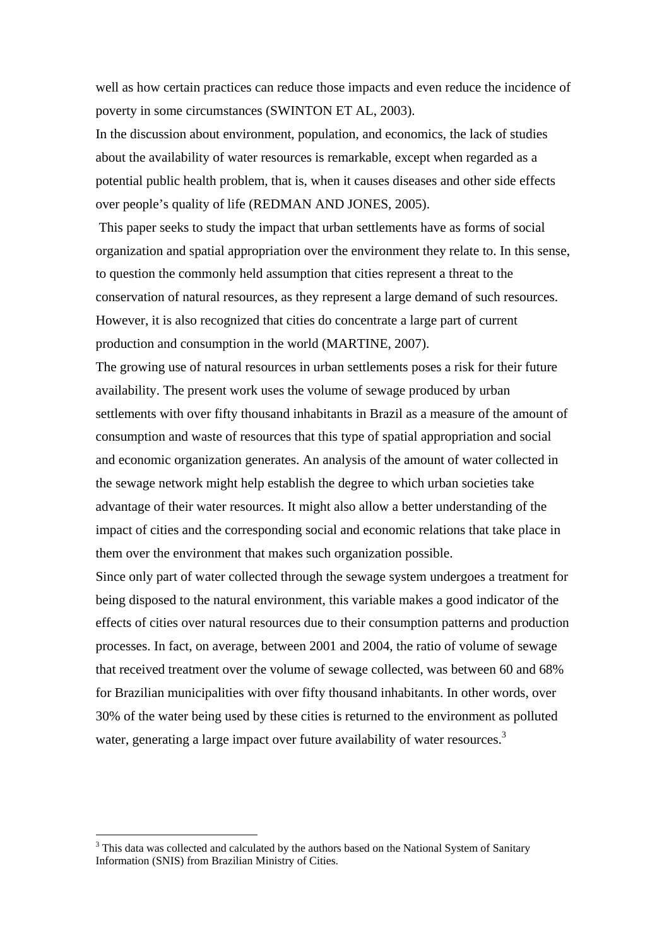well as how certain practices can reduce those impacts and even reduce the incidence of poverty in some circumstances (SWINTON ET AL, 2003).

In the discussion about environment, population, and economics, the lack of studies about the availability of water resources is remarkable, except when regarded as a potential public health problem, that is, when it causes diseases and other side effects over people's quality of life (REDMAN AND JONES, 2005).

 This paper seeks to study the impact that urban settlements have as forms of social organization and spatial appropriation over the environment they relate to. In this sense, to question the commonly held assumption that cities represent a threat to the conservation of natural resources, as they represent a large demand of such resources. However, it is also recognized that cities do concentrate a large part of current production and consumption in the world (MARTINE, 2007).

The growing use of natural resources in urban settlements poses a risk for their future availability. The present work uses the volume of sewage produced by urban settlements with over fifty thousand inhabitants in Brazil as a measure of the amount of consumption and waste of resources that this type of spatial appropriation and social and economic organization generates. An analysis of the amount of water collected in the sewage network might help establish the degree to which urban societies take advantage of their water resources. It might also allow a better understanding of the impact of cities and the corresponding social and economic relations that take place in them over the environment that makes such organization possible.

Since only part of water collected through the sewage system undergoes a treatment for being disposed to the natural environment, this variable makes a good indicator of the effects of cities over natural resources due to their consumption patterns and production processes. In fact, on average, between 2001 and 2004, the ratio of volume of sewage that received treatment over the volume of sewage collected, was between 60 and 68% for Brazilian municipalities with over fifty thousand inhabitants. In other words, over 30% of the water being used by these cities is returned to the environment as polluted water, generating a large impact over future availability of water resources.<sup>3</sup>

<sup>&</sup>lt;sup>3</sup> This data was collected and calculated by the authors based on the National System of Sanitary Information (SNIS) from Brazilian Ministry of Cities.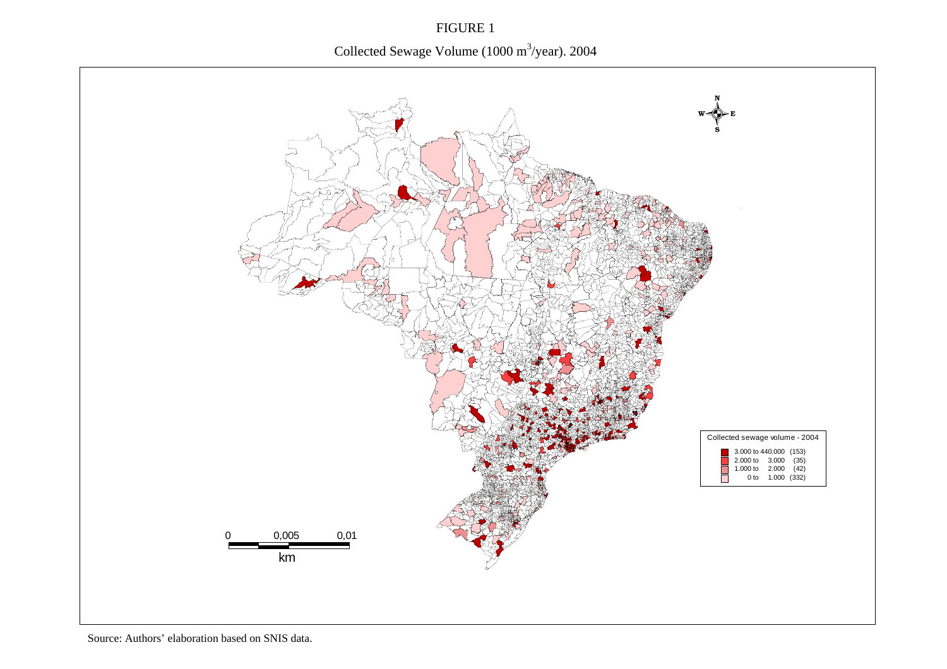FIGURE 1 Collected Sewage Volume (1000 m<sup>3</sup>/year). 2004

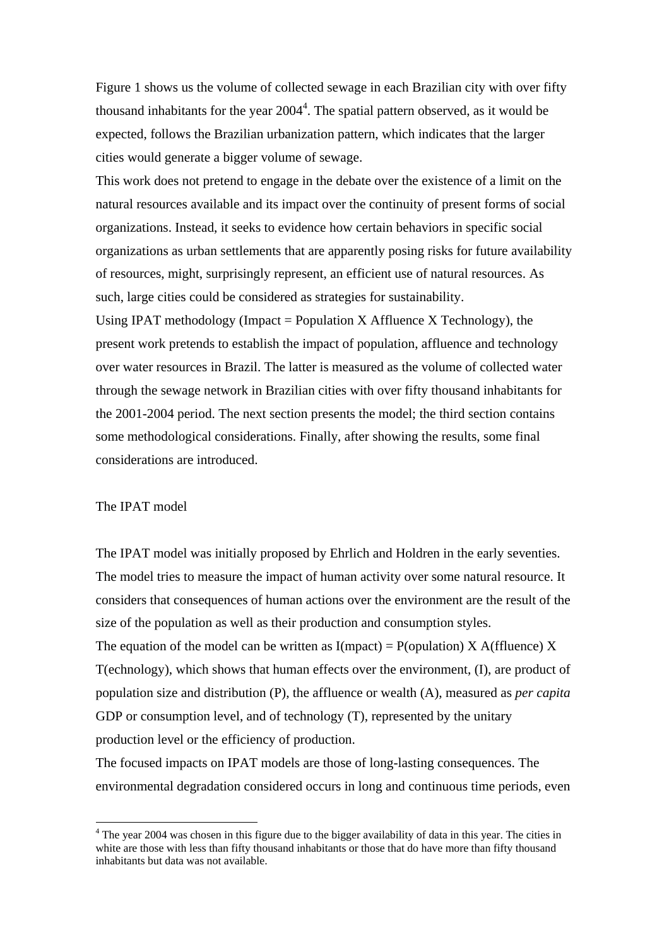Figure 1 shows us the volume of collected sewage in each Brazilian city with over fifty thousand inhabitants for the year  $2004<sup>4</sup>$ . The spatial pattern observed, as it would be expected, follows the Brazilian urbanization pattern, which indicates that the larger cities would generate a bigger volume of sewage.

This work does not pretend to engage in the debate over the existence of a limit on the natural resources available and its impact over the continuity of present forms of social organizations. Instead, it seeks to evidence how certain behaviors in specific social organizations as urban settlements that are apparently posing risks for future availability of resources, might, surprisingly represent, an efficient use of natural resources. As such, large cities could be considered as strategies for sustainability.

Using IPAT methodology (Impact = Population X Affluence X Technology), the present work pretends to establish the impact of population, affluence and technology over water resources in Brazil. The latter is measured as the volume of collected water through the sewage network in Brazilian cities with over fifty thousand inhabitants for the 2001-2004 period. The next section presents the model; the third section contains some methodological considerations. Finally, after showing the results, some final considerations are introduced.

#### The IPAT model

 $\overline{a}$ 

The IPAT model was initially proposed by Ehrlich and Holdren in the early seventies. The model tries to measure the impact of human activity over some natural resource. It considers that consequences of human actions over the environment are the result of the size of the population as well as their production and consumption styles. The equation of the model can be written as  $I(mpack) = P(opulation) X A(ffluence) X$ T(echnology), which shows that human effects over the environment, (I), are product of population size and distribution (P), the affluence or wealth (A), measured as *per capita*

GDP or consumption level, and of technology (T), represented by the unitary production level or the efficiency of production.

The focused impacts on IPAT models are those of long-lasting consequences. The environmental degradation considered occurs in long and continuous time periods, even

<sup>&</sup>lt;sup>4</sup> The year 2004 was chosen in this figure due to the bigger availability of data in this year. The cities in white are those with less than fifty thousand inhabitants or those that do have more than fifty thousand inhabitants but data was not available.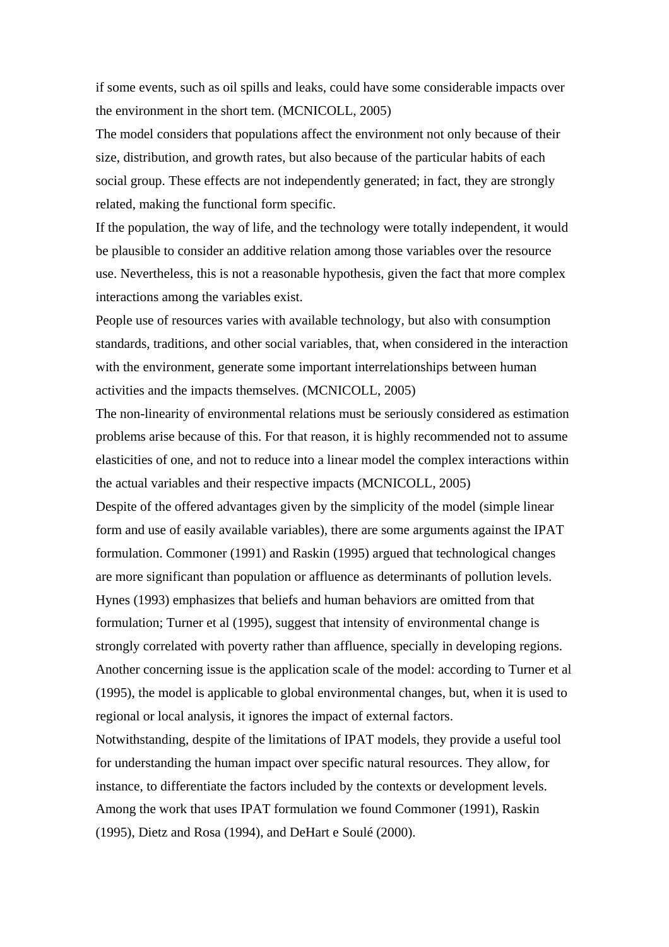if some events, such as oil spills and leaks, could have some considerable impacts over the environment in the short tem. (MCNICOLL, 2005)

The model considers that populations affect the environment not only because of their size, distribution, and growth rates, but also because of the particular habits of each social group. These effects are not independently generated; in fact, they are strongly related, making the functional form specific.

If the population, the way of life, and the technology were totally independent, it would be plausible to consider an additive relation among those variables over the resource use. Nevertheless, this is not a reasonable hypothesis, given the fact that more complex interactions among the variables exist.

People use of resources varies with available technology, but also with consumption standards, traditions, and other social variables, that, when considered in the interaction with the environment, generate some important interrelationships between human activities and the impacts themselves. (MCNICOLL, 2005)

The non-linearity of environmental relations must be seriously considered as estimation problems arise because of this. For that reason, it is highly recommended not to assume elasticities of one, and not to reduce into a linear model the complex interactions within the actual variables and their respective impacts (MCNICOLL, 2005)

Despite of the offered advantages given by the simplicity of the model (simple linear form and use of easily available variables), there are some arguments against the IPAT formulation. Commoner (1991) and Raskin (1995) argued that technological changes are more significant than population or affluence as determinants of pollution levels. Hynes (1993) emphasizes that beliefs and human behaviors are omitted from that formulation; Turner et al (1995), suggest that intensity of environmental change is strongly correlated with poverty rather than affluence, specially in developing regions. Another concerning issue is the application scale of the model: according to Turner et al (1995), the model is applicable to global environmental changes, but, when it is used to regional or local analysis, it ignores the impact of external factors.

Notwithstanding, despite of the limitations of IPAT models, they provide a useful tool for understanding the human impact over specific natural resources. They allow, for instance, to differentiate the factors included by the contexts or development levels. Among the work that uses IPAT formulation we found Commoner (1991), Raskin (1995), Dietz and Rosa (1994), and DeHart e Soulé (2000).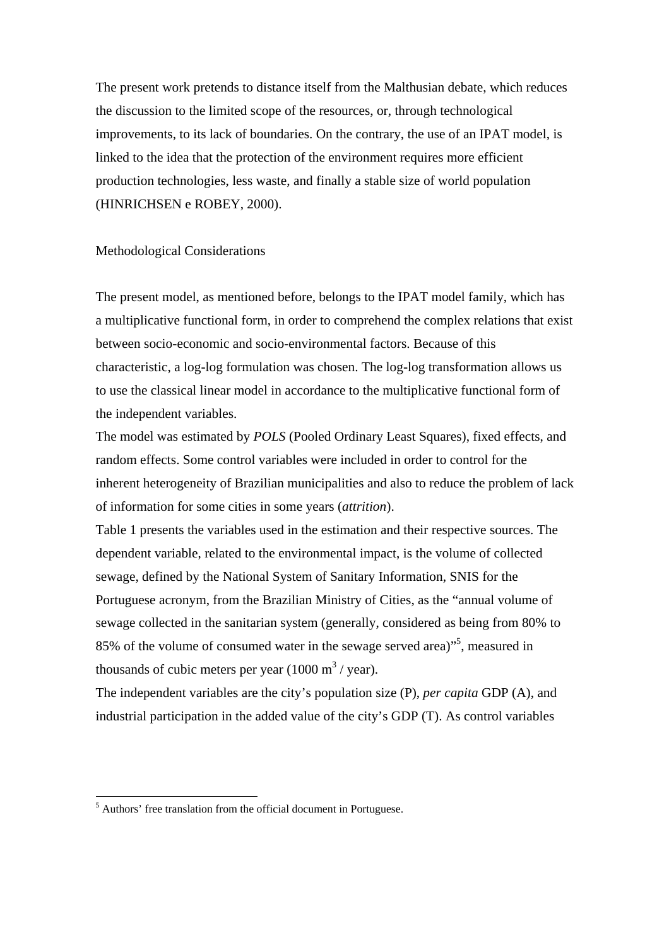The present work pretends to distance itself from the Malthusian debate, which reduces the discussion to the limited scope of the resources, or, through technological improvements, to its lack of boundaries. On the contrary, the use of an IPAT model, is linked to the idea that the protection of the environment requires more efficient production technologies, less waste, and finally a stable size of world population (HINRICHSEN e ROBEY, 2000).

#### Methodological Considerations

The present model, as mentioned before, belongs to the IPAT model family, which has a multiplicative functional form, in order to comprehend the complex relations that exist between socio-economic and socio-environmental factors. Because of this characteristic, a log-log formulation was chosen. The log-log transformation allows us to use the classical linear model in accordance to the multiplicative functional form of the independent variables.

The model was estimated by *POLS* (Pooled Ordinary Least Squares), fixed effects, and random effects. Some control variables were included in order to control for the inherent heterogeneity of Brazilian municipalities and also to reduce the problem of lack of information for some cities in some years (*attrition*).

Table 1 presents the variables used in the estimation and their respective sources. The dependent variable, related to the environmental impact, is the volume of collected sewage, defined by the National System of Sanitary Information, SNIS for the Portuguese acronym, from the Brazilian Ministry of Cities, as the "annual volume of sewage collected in the sanitarian system (generally, considered as being from 80% to 85% of the volume of consumed water in the sewage served area)"5 , measured in thousands of cubic meters per year  $(1000 \text{ m}^3/\text{year})$ .

The independent variables are the city's population size (P), *per capita* GDP (A), and industrial participation in the added value of the city's GDP (T). As control variables

<sup>&</sup>lt;sup>5</sup> Authors' free translation from the official document in Portuguese.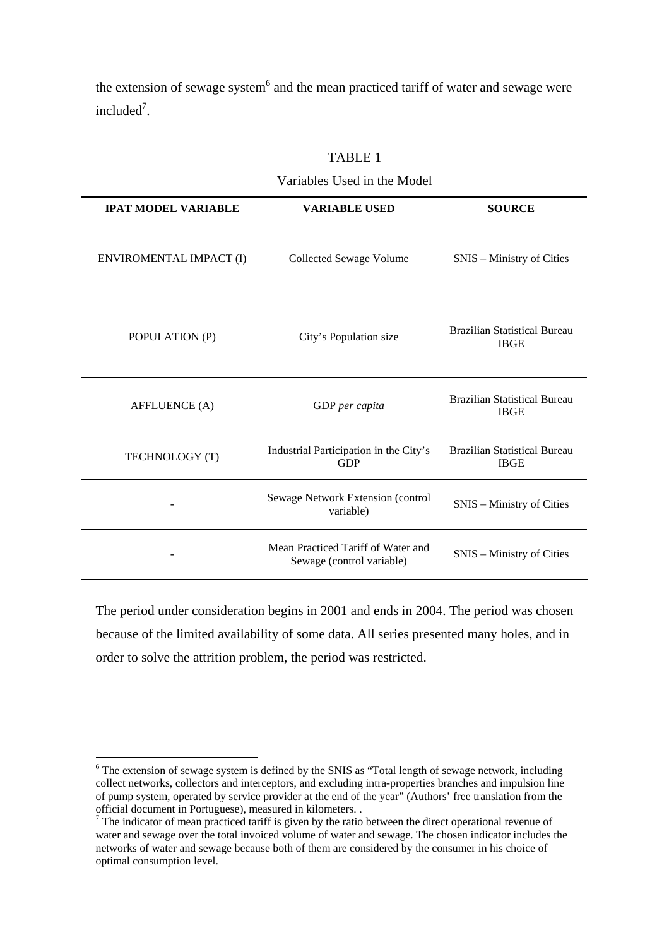the extension of sewage system $6$  and the mean practiced tariff of water and sewage were  $include^7$ .

| <b>IPAT MODEL VARIABLE</b> | <b>VARIABLE USED</b>                                            | <b>SOURCE</b>                                      |
|----------------------------|-----------------------------------------------------------------|----------------------------------------------------|
| ENVIROMENTAL IMPACT (I)    | Collected Sewage Volume                                         | SNIS – Ministry of Cities                          |
| POPULATION (P)             | City's Population size                                          | <b>Brazilian Statistical Bureau</b><br><b>IBGE</b> |
| <b>AFFLUENCE</b> (A)       | GDP per capita                                                  | <b>Brazilian Statistical Bureau</b><br><b>IBGE</b> |
| TECHNOLOGY (T)             | Industrial Participation in the City's<br><b>GDP</b>            | <b>Brazilian Statistical Bureau</b><br><b>IBGE</b> |
|                            | Sewage Network Extension (control<br>variable)                  | SNIS – Ministry of Cities                          |
|                            | Mean Practiced Tariff of Water and<br>Sewage (control variable) | SNIS – Ministry of Cities                          |

## TABLE 1

## Variables Used in the Model

The period under consideration begins in 2001 and ends in 2004. The period was chosen because of the limited availability of some data. All series presented many holes, and in order to solve the attrition problem, the period was restricted.

<sup>&</sup>lt;sup>6</sup> The extension of sewage system is defined by the SNIS as "Total length of sewage network, including collect networks, collectors and interceptors, and excluding intra-properties branches and impulsion line of pump system, operated by service provider at the end of the year" (Authors' free translation from the official document in Portuguese), measured in kilometers. . 7

 $\alpha$ <sup>7</sup> The indicator of mean practiced tariff is given by the ratio between the direct operational revenue of water and sewage over the total invoiced volume of water and sewage. The chosen indicator includes the networks of water and sewage because both of them are considered by the consumer in his choice of optimal consumption level.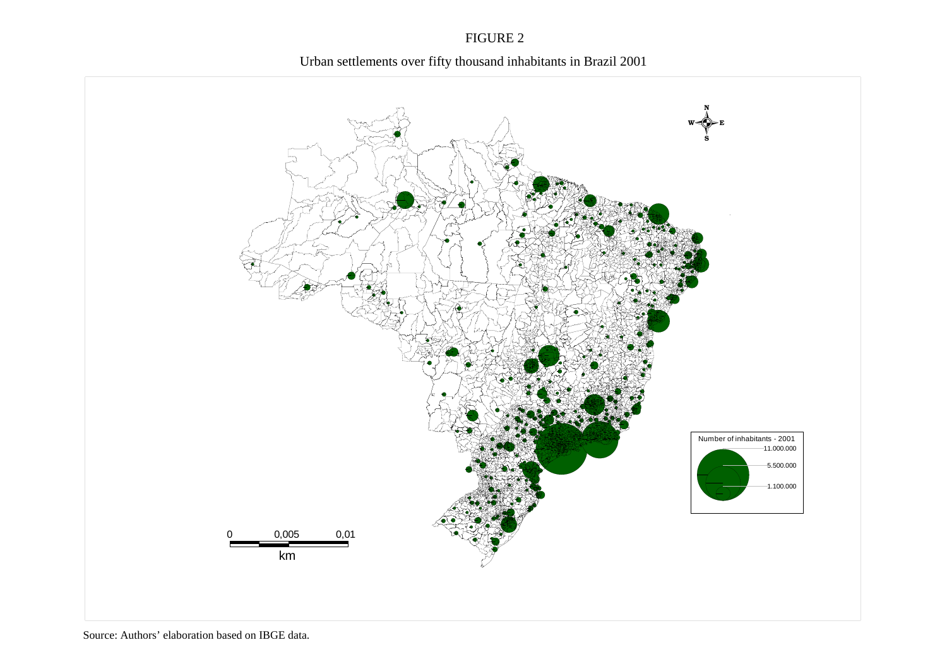## FIGURE 2



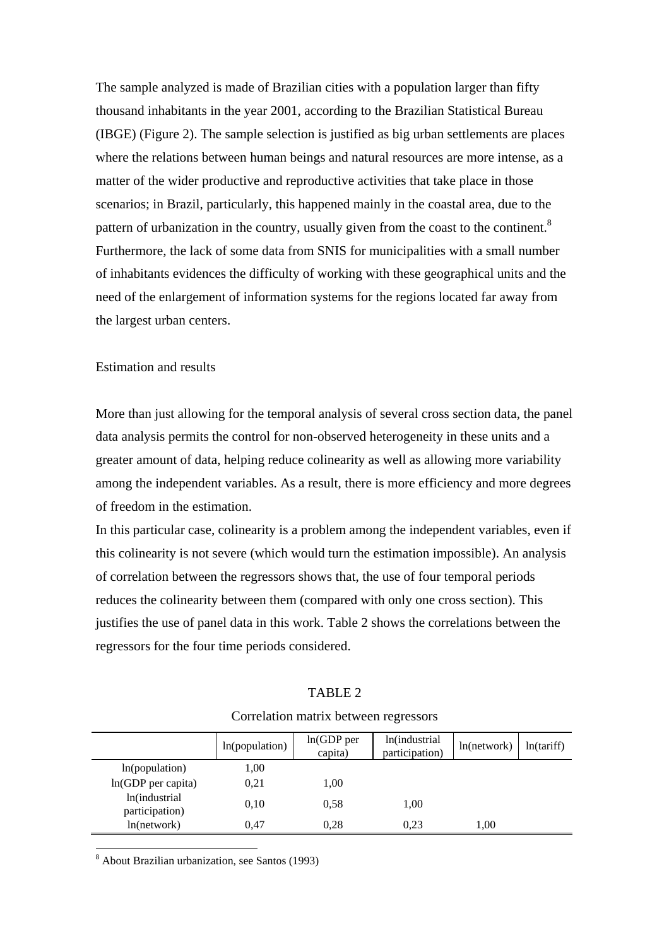The sample analyzed is made of Brazilian cities with a population larger than fifty thousand inhabitants in the year 2001, according to the Brazilian Statistical Bureau (IBGE) (Figure 2). The sample selection is justified as big urban settlements are places where the relations between human beings and natural resources are more intense, as a matter of the wider productive and reproductive activities that take place in those scenarios; in Brazil, particularly, this happened mainly in the coastal area, due to the pattern of urbanization in the country, usually given from the coast to the continent.<sup>8</sup> Furthermore, the lack of some data from SNIS for municipalities with a small number of inhabitants evidences the difficulty of working with these geographical units and the need of the enlargement of information systems for the regions located far away from the largest urban centers.

## Estimation and results

More than just allowing for the temporal analysis of several cross section data, the panel data analysis permits the control for non-observed heterogeneity in these units and a greater amount of data, helping reduce colinearity as well as allowing more variability among the independent variables. As a result, there is more efficiency and more degrees of freedom in the estimation.

In this particular case, colinearity is a problem among the independent variables, even if this colinearity is not severe (which would turn the estimation impossible). An analysis of correlation between the regressors shows that, the use of four temporal periods reduces the colinearity between them (compared with only one cross section). This justifies the use of panel data in this work. Table 2 shows the correlations between the regressors for the four time periods considered.

#### TABLE 2

|                                 | ln(population) | $ln(GDP$ per<br>capita) | ln(industrial<br>participation) | ln(network) | ln(tariff) |
|---------------------------------|----------------|-------------------------|---------------------------------|-------------|------------|
| ln(population)                  | 1,00           |                         |                                 |             |            |
| $ln(GDP$ per capita)            | 0,21           | 1,00                    |                                 |             |            |
| ln(industrial<br>participation) | 0,10           | 0.58                    | 1,00                            |             |            |
| ln(network)                     | 0.47           | 0,28                    | 0,23                            | 1,00        |            |

#### Correlation matrix between regressors

8 About Brazilian urbanization, see Santos (1993)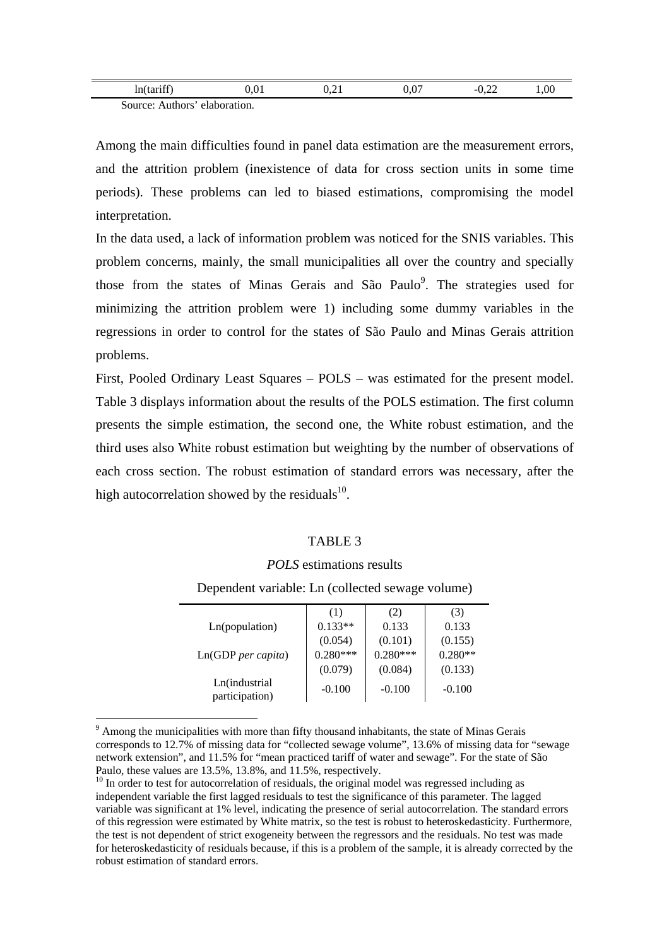| ln(tariff)                       | $0.01\,$ | 0, 41 | 0.07 | $\sim$<br>$-U, ZZ$ | .00 |
|----------------------------------|----------|-------|------|--------------------|-----|
| Authors' elaboration.<br>Source: |          |       |      |                    |     |

Among the main difficulties found in panel data estimation are the measurement errors, and the attrition problem (inexistence of data for cross section units in some time periods). These problems can led to biased estimations, compromising the model interpretation.

In the data used, a lack of information problem was noticed for the SNIS variables. This problem concerns, mainly, the small municipalities all over the country and specially those from the states of Minas Gerais and São Paulo<sup>9</sup>. The strategies used for minimizing the attrition problem were 1) including some dummy variables in the regressions in order to control for the states of São Paulo and Minas Gerais attrition problems.

First, Pooled Ordinary Least Squares – POLS – was estimated for the present model. Table 3 displays information about the results of the POLS estimation. The first column presents the simple estimation, the second one, the White robust estimation, and the third uses also White robust estimation but weighting by the number of observations of each cross section. The robust estimation of standard errors was necessary, after the high autocorrelation showed by the residuals $^{10}$ .

## TABLE 3

#### *POLS* estimations results

Dependent variable: Ln (collected sewage volume)

|                                 | (1)        | (2)        | (3)       |
|---------------------------------|------------|------------|-----------|
| Ln(population)                  | $0.133**$  | 0.133      | 0.133     |
|                                 | (0.054)    | (0.101)    | (0.155)   |
| Ln(GDP <sub>per</sub> capita)   | $0.280***$ | $0.280***$ | $0.280**$ |
|                                 | (0.079)    | (0.084)    | (0.133)   |
| Ln(industrial<br>participation) | $-0.100$   | $-0.100$   | $-0.100$  |

<sup>&</sup>lt;sup>9</sup> Among the municipalities with more than fifty thousand inhabitants, the state of Minas Gerais corresponds to 12.7% of missing data for "collected sewage volume", 13.6% of missing data for "sewage network extension", and 11.5% for "mean practiced tariff of water and sewage". For the state of São Paulo, these values are 13.5%, 13.8%, and 11.5%, respectively.

 $\frac{10}{10}$  In order to test for autocorrelation of residuals, the original model was regressed including as independent variable the first lagged residuals to test the significance of this parameter. The lagged variable was significant at 1% level, indicating the presence of serial autocorrelation. The standard errors of this regression were estimated by White matrix, so the test is robust to heteroskedasticity. Furthermore, the test is not dependent of strict exogeneity between the regressors and the residuals. No test was made for heteroskedasticity of residuals because, if this is a problem of the sample, it is already corrected by the robust estimation of standard errors.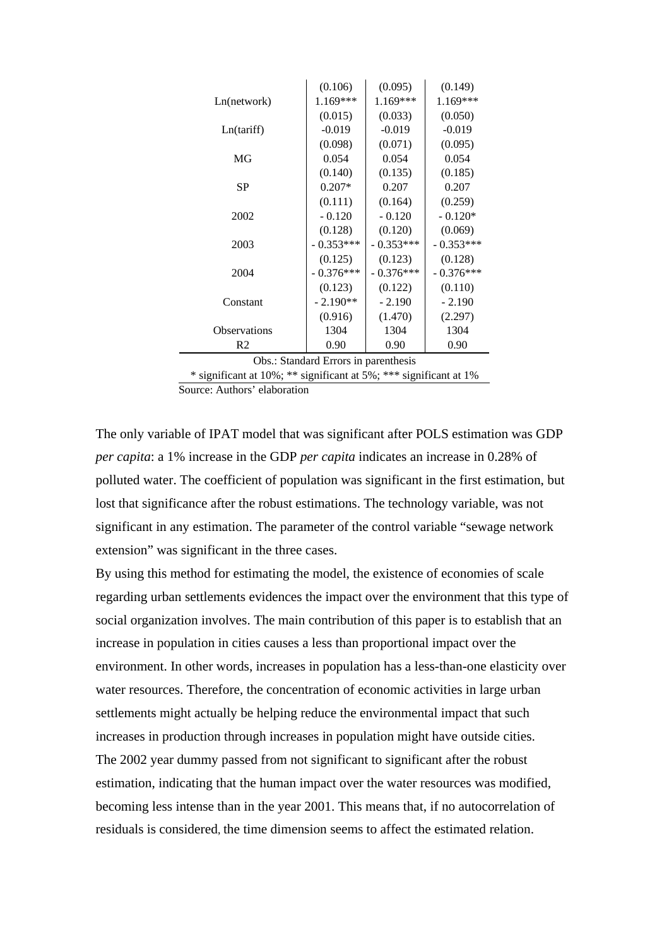|                                                                                        | (0.106)     | (0.095)     | (0.149)     |  |
|----------------------------------------------------------------------------------------|-------------|-------------|-------------|--|
| Ln(network)                                                                            | $1.169***$  | 1.169***    | 1.169***    |  |
|                                                                                        | (0.015)     | (0.033)     | (0.050)     |  |
| Ln(tariff)                                                                             | $-0.019$    | $-0.019$    | $-0.019$    |  |
|                                                                                        | (0.098)     | (0.071)     | (0.095)     |  |
| MG                                                                                     | 0.054       | 0.054       | 0.054       |  |
|                                                                                        | (0.140)     | (0.135)     | (0.185)     |  |
| SP                                                                                     | $0.207*$    | 0.207       | 0.207       |  |
|                                                                                        | (0.111)     | (0.164)     | (0.259)     |  |
| 2002                                                                                   | $-0.120$    | $-0.120$    | $-0.120*$   |  |
|                                                                                        | (0.128)     | (0.120)     | (0.069)     |  |
| 2003                                                                                   | $-0.353***$ | $-0.353***$ | $-0.353***$ |  |
|                                                                                        | (0.125)     | (0.123)     | (0.128)     |  |
| 2004                                                                                   | $-0.376***$ | $-0.376***$ | $-0.376***$ |  |
|                                                                                        | (0.123)     | (0.122)     | (0.110)     |  |
| Constant                                                                               | $-2.190**$  | $-2.190$    | $-2.190$    |  |
|                                                                                        | (0.916)     | (1.470)     | (2.297)     |  |
| <b>Observations</b>                                                                    | 1304        | 1304        | 1304        |  |
| R <sub>2</sub>                                                                         | 0.90        | 0.90        | 0.90        |  |
| $\bigcap L$ . $\bigcap L$ is dead $\bigcap_{i=1}^{n}$<br>المائم مالطا وواودها والمنافذ |             |             |             |  |

Obs.: Standard Errors in parenthesis

\* significant at 10%; \*\* significant at 5%; \*\*\* significant at 1%

Source: Authors' elaboration

The only variable of IPAT model that was significant after POLS estimation was GDP *per capita*: a 1% increase in the GDP *per capita* indicates an increase in 0.28% of polluted water. The coefficient of population was significant in the first estimation, but lost that significance after the robust estimations. The technology variable, was not significant in any estimation. The parameter of the control variable "sewage network extension" was significant in the three cases.

By using this method for estimating the model, the existence of economies of scale regarding urban settlements evidences the impact over the environment that this type of social organization involves. The main contribution of this paper is to establish that an increase in population in cities causes a less than proportional impact over the environment. In other words, increases in population has a less-than-one elasticity over water resources. Therefore, the concentration of economic activities in large urban settlements might actually be helping reduce the environmental impact that such increases in production through increases in population might have outside cities. The 2002 year dummy passed from not significant to significant after the robust estimation, indicating that the human impact over the water resources was modified, becoming less intense than in the year 2001. This means that, if no autocorrelation of residuals is considered, the time dimension seems to affect the estimated relation.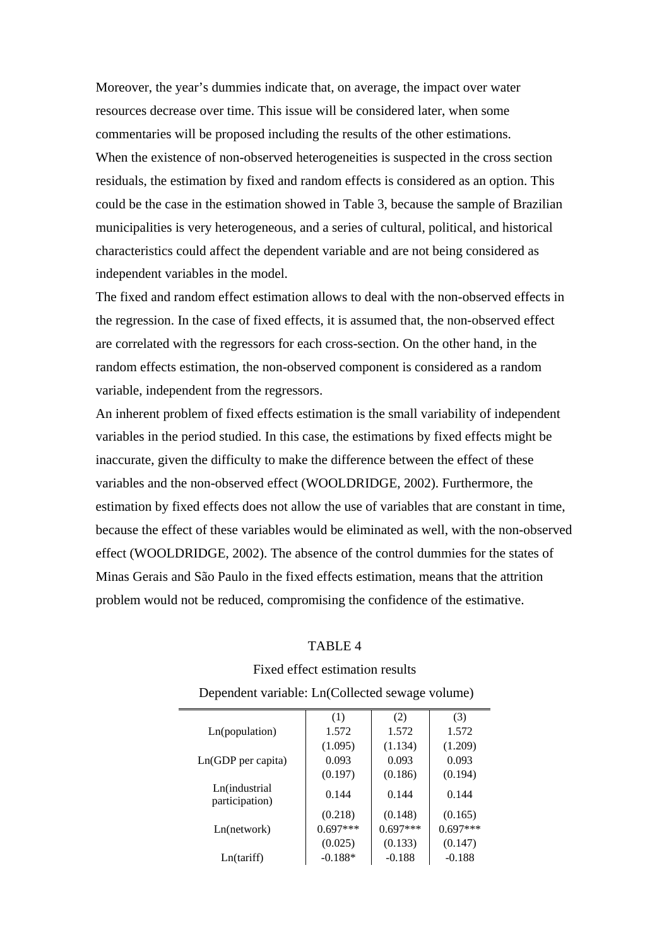Moreover, the year's dummies indicate that, on average, the impact over water resources decrease over time. This issue will be considered later, when some commentaries will be proposed including the results of the other estimations. When the existence of non-observed heterogeneities is suspected in the cross section residuals, the estimation by fixed and random effects is considered as an option. This could be the case in the estimation showed in Table 3, because the sample of Brazilian municipalities is very heterogeneous, and a series of cultural, political, and historical characteristics could affect the dependent variable and are not being considered as independent variables in the model.

The fixed and random effect estimation allows to deal with the non-observed effects in the regression. In the case of fixed effects, it is assumed that, the non-observed effect are correlated with the regressors for each cross-section. On the other hand, in the random effects estimation, the non-observed component is considered as a random variable, independent from the regressors.

An inherent problem of fixed effects estimation is the small variability of independent variables in the period studied. In this case, the estimations by fixed effects might be inaccurate, given the difficulty to make the difference between the effect of these variables and the non-observed effect (WOOLDRIDGE, 2002). Furthermore, the estimation by fixed effects does not allow the use of variables that are constant in time, because the effect of these variables would be eliminated as well, with the non-observed effect (WOOLDRIDGE, 2002). The absence of the control dummies for the states of Minas Gerais and São Paulo in the fixed effects estimation, means that the attrition problem would not be reduced, compromising the confidence of the estimative.

| ABL. |
|------|
|------|

|                                 | (1)        | (2)        | (3)        |
|---------------------------------|------------|------------|------------|
| Ln(population)                  | 1.572      | 1.572      | 1.572      |
|                                 | (1.095)    | (1.134)    | (1.209)    |
| $Ln(GDP$ per capita)            | 0.093      | 0.093      | 0.093      |
|                                 | (0.197)    | (0.186)    | (0.194)    |
| Ln(industrial<br>participation) | 0.144      | 0.144      | 0.144      |
|                                 | (0.218)    | (0.148)    | (0.165)    |
| Ln(network)                     | $0.697***$ | $0.697***$ | $0.697***$ |
|                                 | (0.025)    | (0.133)    | (0.147)    |
| Ln(tariff)                      | $-0.188*$  | $-0.188$   | $-0.188$   |

# Fixed effect estimation results Dependent variable: Ln(Collected sewage volume)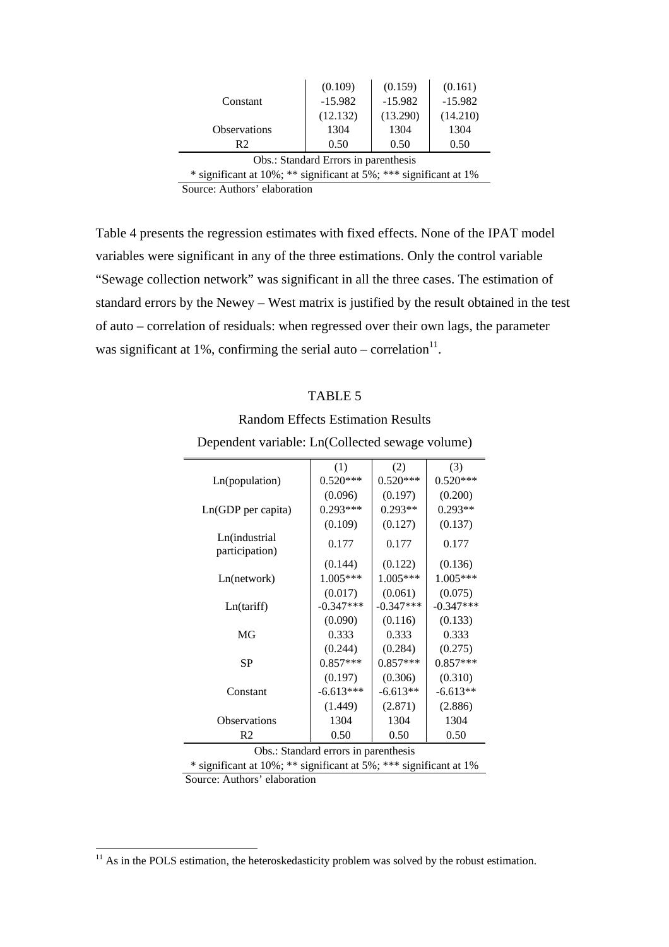|                                      | (0.109)   | (0.159)   | (0.161)   |
|--------------------------------------|-----------|-----------|-----------|
| Constant                             | $-15.982$ | $-15.982$ | $-15.982$ |
|                                      | (12.132)  | (13.290)  | (14.210)  |
| <b>Observations</b>                  | 1304      | 1304      | 1304      |
| R <sub>2</sub>                       | 0.50      | 0.50      | 0.50      |
| Obs.: Standard Errors in parenthesis |           |           |           |

\* significant at 10%; \*\* significant at 5%; \*\*\* significant at 1%

Source: Authors' elaboration

Table 4 presents the regression estimates with fixed effects. None of the IPAT model variables were significant in any of the three estimations. Only the control variable "Sewage collection network" was significant in all the three cases. The estimation of standard errors by the Newey – West matrix is justified by the result obtained in the test of auto – correlation of residuals: when regressed over their own lags, the parameter was significant at 1%, confirming the serial auto – correlation $^{11}$ .

## TABLE 5

# Random Effects Estimation Results

|                                                               | (1)         | (2)         | (3)         |
|---------------------------------------------------------------|-------------|-------------|-------------|
| Ln(population)                                                | $0.520***$  | $0.520***$  | $0.520***$  |
|                                                               | (0.096)     | (0.197)     | (0.200)     |
| Ln(GDP per capita)                                            | $0.293***$  | $0.293**$   | $0.293**$   |
|                                                               | (0.109)     | (0.127)     | (0.137)     |
| Ln(industrial<br>participation)                               | 0.177       | 0.177       | 0.177       |
|                                                               | (0.144)     | (0.122)     | (0.136)     |
| Ln(network)                                                   | 1.005***    | $1.005***$  | 1.005***    |
|                                                               | (0.017)     | (0.061)     | (0.075)     |
| Ln(tariff)                                                    | $-0.347***$ | $-0.347***$ | $-0.347***$ |
|                                                               | (0.090)     | (0.116)     | (0.133)     |
| MG                                                            | 0.333       | 0.333       | 0.333       |
|                                                               | (0.244)     | (0.284)     | (0.275)     |
| SP                                                            | $0.857***$  | $0.857***$  | 0.857***    |
|                                                               | (0.197)     | (0.306)     | (0.310)     |
| Constant                                                      | $-6.613***$ | $-6.613**$  | $-6.613**$  |
|                                                               | (1.449)     | (2.871)     | (2.886)     |
| Observations                                                  | 1304        | 1304        | 1304        |
| R <sub>2</sub>                                                | 0.50        | 0.50        | 0.50        |
| $\Omega$ <sub>be</sub> $\cdot$ Standard arrors in paranthosis |             |             |             |

Dependent variable: Ln(Collected sewage volume)

Obs.: Standard errors in parenthesis

\* significant at 10%; \*\* significant at 5%; \*\*\* significant at 1%

Source: Authors' elaboration

 $11$  As in the POLS estimation, the heteroskedasticity problem was solved by the robust estimation.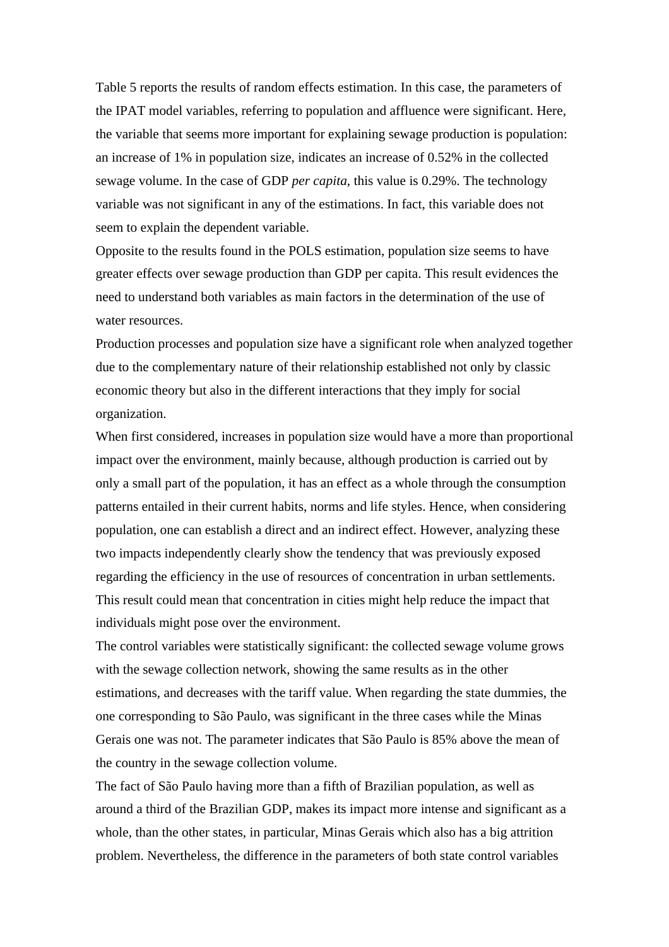Table 5 reports the results of random effects estimation. In this case, the parameters of the IPAT model variables, referring to population and affluence were significant. Here, the variable that seems more important for explaining sewage production is population: an increase of 1% in population size, indicates an increase of 0.52% in the collected sewage volume. In the case of GDP *per capita*, this value is 0.29%. The technology variable was not significant in any of the estimations. In fact, this variable does not seem to explain the dependent variable.

Opposite to the results found in the POLS estimation, population size seems to have greater effects over sewage production than GDP per capita. This result evidences the need to understand both variables as main factors in the determination of the use of water resources.

Production processes and population size have a significant role when analyzed together due to the complementary nature of their relationship established not only by classic economic theory but also in the different interactions that they imply for social organization.

When first considered, increases in population size would have a more than proportional impact over the environment, mainly because, although production is carried out by only a small part of the population, it has an effect as a whole through the consumption patterns entailed in their current habits, norms and life styles. Hence, when considering population, one can establish a direct and an indirect effect. However, analyzing these two impacts independently clearly show the tendency that was previously exposed regarding the efficiency in the use of resources of concentration in urban settlements. This result could mean that concentration in cities might help reduce the impact that individuals might pose over the environment.

The control variables were statistically significant: the collected sewage volume grows with the sewage collection network, showing the same results as in the other estimations, and decreases with the tariff value. When regarding the state dummies, the one corresponding to São Paulo, was significant in the three cases while the Minas Gerais one was not. The parameter indicates that São Paulo is 85% above the mean of the country in the sewage collection volume.

The fact of São Paulo having more than a fifth of Brazilian population, as well as around a third of the Brazilian GDP, makes its impact more intense and significant as a whole, than the other states, in particular, Minas Gerais which also has a big attrition problem. Nevertheless, the difference in the parameters of both state control variables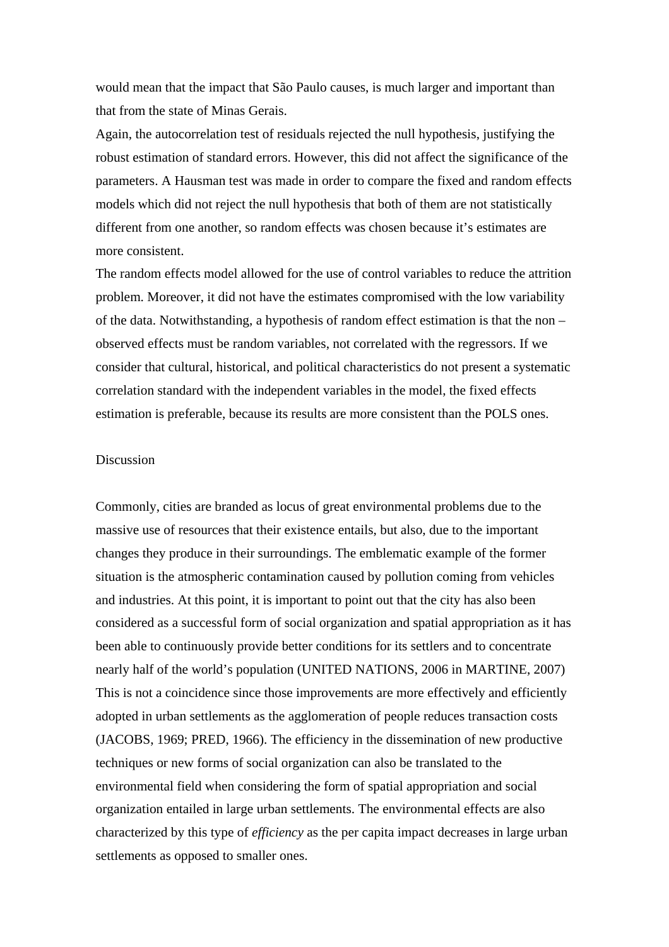would mean that the impact that São Paulo causes, is much larger and important than that from the state of Minas Gerais.

Again, the autocorrelation test of residuals rejected the null hypothesis, justifying the robust estimation of standard errors. However, this did not affect the significance of the parameters. A Hausman test was made in order to compare the fixed and random effects models which did not reject the null hypothesis that both of them are not statistically different from one another, so random effects was chosen because it's estimates are more consistent.

The random effects model allowed for the use of control variables to reduce the attrition problem. Moreover, it did not have the estimates compromised with the low variability of the data. Notwithstanding, a hypothesis of random effect estimation is that the non – observed effects must be random variables, not correlated with the regressors. If we consider that cultural, historical, and political characteristics do not present a systematic correlation standard with the independent variables in the model, the fixed effects estimation is preferable, because its results are more consistent than the POLS ones.

#### Discussion

Commonly, cities are branded as locus of great environmental problems due to the massive use of resources that their existence entails, but also, due to the important changes they produce in their surroundings. The emblematic example of the former situation is the atmospheric contamination caused by pollution coming from vehicles and industries. At this point, it is important to point out that the city has also been considered as a successful form of social organization and spatial appropriation as it has been able to continuously provide better conditions for its settlers and to concentrate nearly half of the world's population (UNITED NATIONS, 2006 in MARTINE, 2007) This is not a coincidence since those improvements are more effectively and efficiently adopted in urban settlements as the agglomeration of people reduces transaction costs (JACOBS, 1969; PRED, 1966). The efficiency in the dissemination of new productive techniques or new forms of social organization can also be translated to the environmental field when considering the form of spatial appropriation and social organization entailed in large urban settlements. The environmental effects are also characterized by this type of *efficiency* as the per capita impact decreases in large urban settlements as opposed to smaller ones.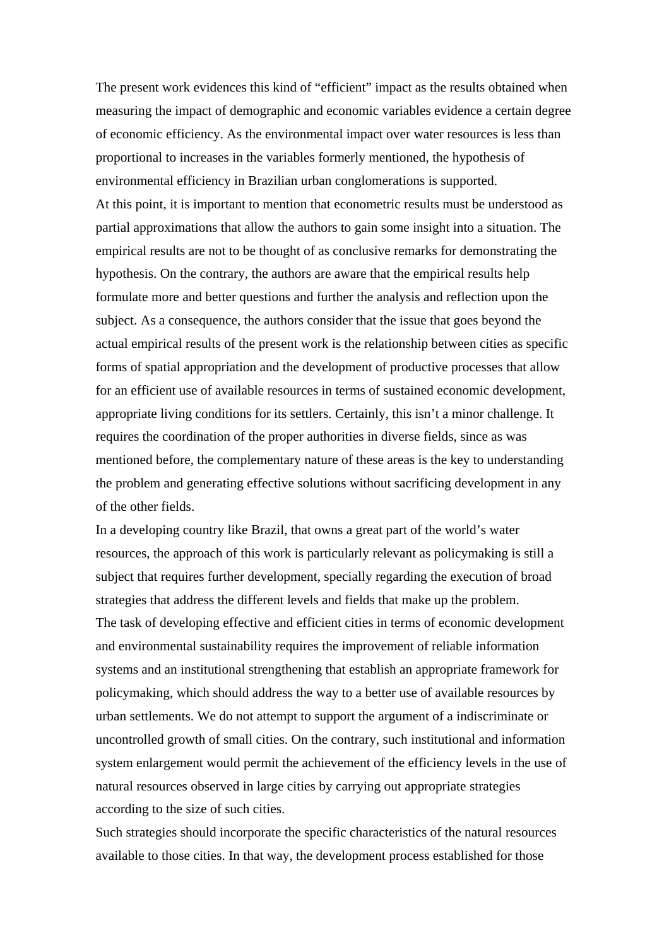The present work evidences this kind of "efficient" impact as the results obtained when measuring the impact of demographic and economic variables evidence a certain degree of economic efficiency. As the environmental impact over water resources is less than proportional to increases in the variables formerly mentioned, the hypothesis of environmental efficiency in Brazilian urban conglomerations is supported. At this point, it is important to mention that econometric results must be understood as partial approximations that allow the authors to gain some insight into a situation. The empirical results are not to be thought of as conclusive remarks for demonstrating the hypothesis. On the contrary, the authors are aware that the empirical results help formulate more and better questions and further the analysis and reflection upon the subject. As a consequence, the authors consider that the issue that goes beyond the actual empirical results of the present work is the relationship between cities as specific forms of spatial appropriation and the development of productive processes that allow for an efficient use of available resources in terms of sustained economic development, appropriate living conditions for its settlers. Certainly, this isn't a minor challenge. It requires the coordination of the proper authorities in diverse fields, since as was mentioned before, the complementary nature of these areas is the key to understanding the problem and generating effective solutions without sacrificing development in any of the other fields.

In a developing country like Brazil, that owns a great part of the world's water resources, the approach of this work is particularly relevant as policymaking is still a subject that requires further development, specially regarding the execution of broad strategies that address the different levels and fields that make up the problem. The task of developing effective and efficient cities in terms of economic development and environmental sustainability requires the improvement of reliable information systems and an institutional strengthening that establish an appropriate framework for policymaking, which should address the way to a better use of available resources by urban settlements. We do not attempt to support the argument of a indiscriminate or uncontrolled growth of small cities. On the contrary, such institutional and information system enlargement would permit the achievement of the efficiency levels in the use of natural resources observed in large cities by carrying out appropriate strategies according to the size of such cities.

Such strategies should incorporate the specific characteristics of the natural resources available to those cities. In that way, the development process established for those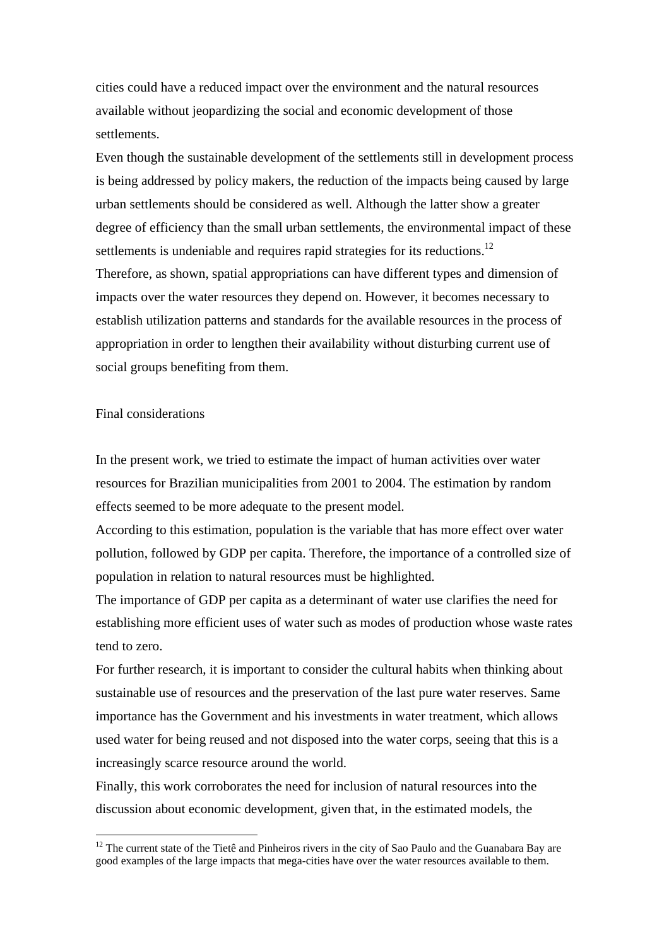cities could have a reduced impact over the environment and the natural resources available without jeopardizing the social and economic development of those settlements.

Even though the sustainable development of the settlements still in development process is being addressed by policy makers, the reduction of the impacts being caused by large urban settlements should be considered as well. Although the latter show a greater degree of efficiency than the small urban settlements, the environmental impact of these settlements is undeniable and requires rapid strategies for its reductions.<sup>12</sup> Therefore, as shown, spatial appropriations can have different types and dimension of impacts over the water resources they depend on. However, it becomes necessary to establish utilization patterns and standards for the available resources in the process of appropriation in order to lengthen their availability without disturbing current use of social groups benefiting from them.

### Final considerations

 $\overline{a}$ 

In the present work, we tried to estimate the impact of human activities over water resources for Brazilian municipalities from 2001 to 2004. The estimation by random effects seemed to be more adequate to the present model.

According to this estimation, population is the variable that has more effect over water pollution, followed by GDP per capita. Therefore, the importance of a controlled size of population in relation to natural resources must be highlighted.

The importance of GDP per capita as a determinant of water use clarifies the need for establishing more efficient uses of water such as modes of production whose waste rates tend to zero.

For further research, it is important to consider the cultural habits when thinking about sustainable use of resources and the preservation of the last pure water reserves. Same importance has the Government and his investments in water treatment, which allows used water for being reused and not disposed into the water corps, seeing that this is a increasingly scarce resource around the world.

Finally, this work corroborates the need for inclusion of natural resources into the discussion about economic development, given that, in the estimated models, the

 $12$  The current state of the Tietê and Pinheiros rivers in the city of Sao Paulo and the Guanabara Bay are good examples of the large impacts that mega-cities have over the water resources available to them.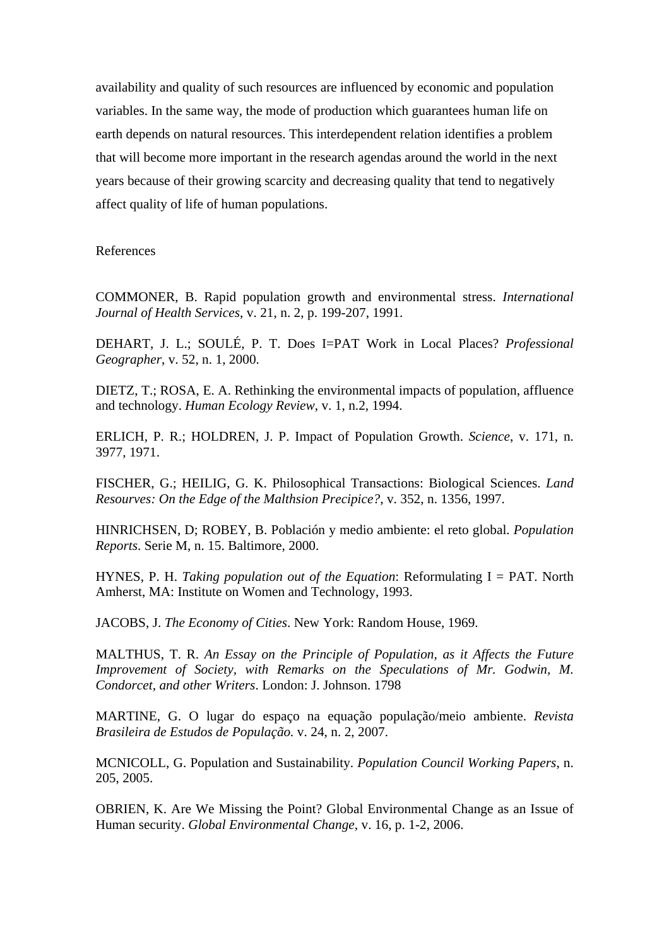availability and quality of such resources are influenced by economic and population variables. In the same way, the mode of production which guarantees human life on earth depends on natural resources. This interdependent relation identifies a problem that will become more important in the research agendas around the world in the next years because of their growing scarcity and decreasing quality that tend to negatively affect quality of life of human populations.

References

COMMONER, B. Rapid population growth and environmental stress. *International Journal of Health Services*, v. 21, n. 2, p. 199-207, 1991.

DEHART, J. L.; SOULÉ, P. T. Does I=PAT Work in Local Places? *Professional Geographer*, v. 52, n. 1, 2000.

DIETZ, T.; ROSA, E. A. Rethinking the environmental impacts of population, affluence and technology. *Human Ecology Review*, v. 1, n.2, 1994.

ERLICH, P. R.; HOLDREN, J. P. Impact of Population Growth. *Science*, v. 171, n. 3977, 1971.

FISCHER, G.; HEILIG, G. K. Philosophical Transactions: Biological Sciences. *Land Resourves: On the Edge of the Malthsion Precipice?*, v. 352, n. 1356, 1997.

HINRICHSEN, D; ROBEY, B. Población y medio ambiente: el reto global. *Population Reports*. Serie M, n. 15. Baltimore, 2000.

HYNES, P. H. *Taking population out of the Equation*: Reformulating I = PAT. North Amherst, MA: Institute on Women and Technology, 1993.

JACOBS, J. *The Economy of Cities*. New York: Random House, 1969.

MALTHUS, T. R. *An Essay on the Principle of Population, as it Affects the Future Improvement of Society, with Remarks on the Speculations of Mr. Godwin, M. Condorcet, and other Writers*. London: J. Johnson. 1798

MARTINE, G. O lugar do espaço na equação população/meio ambiente. *Revista Brasileira de Estudos de População.* v. 24, n. 2, 2007.

MCNICOLL, G. Population and Sustainability. *Population Council Working Papers*, n. 205, 2005.

OBRIEN, K. Are We Missing the Point? Global Environmental Change as an Issue of Human security. *Global Environmental Change*, v. 16, p. 1-2, 2006.